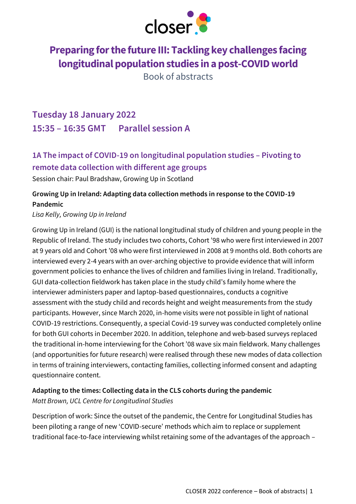

# **Preparing for the future III: Tackling key challenges facing longitudinal population studies in a post-COVID world**

Book of abstracts

# **Tuesday 18 January 2022 15:35 – 16:35 GMT Parallel session A**

# **1A The impact of COVID-19 on longitudinal population studies – Pivoting to remote data collection with different age groups**

Session chair: Paul Bradshaw, Growing Up in Scotland

## **Growing Up in Ireland: Adapting data collection methods in response to the COVID-19 Pandemic**

### *Lisa Kelly, Growing Up in Ireland*

Growing Up in Ireland (GUI) is the national longitudinal study of children and young people in the Republic of Ireland. The study includes two cohorts, Cohort '98 who were first interviewed in 2007 at 9 years old and Cohort '08 who were first interviewed in 2008 at 9 months old. Both cohorts are interviewed every 2-4 years with an over-arching objective to provide evidence that will inform government policies to enhance the lives of children and families living in Ireland. Traditionally, GUI data-collection fieldwork has taken place in the study child's family home where the interviewer administers paper and laptop-based questionnaires, conducts a cognitive assessment with the study child and records height and weight measurements from the study participants. However, since March 2020, in-home visits were not possible in light of national COVID-19 restrictions. Consequently, a special Covid-19 survey was conducted completely online for both GUI cohorts in December 2020. In addition, telephone and web-based surveys replaced the traditional in-home interviewing for the Cohort '08 wave six main fieldwork. Many challenges (and opportunities for future research) were realised through these new modes of data collection in terms of training interviewers, contacting families, collecting informed consent and adapting questionnaire content.

### **Adapting to the times: Collecting data in the CLS cohorts during the pandemic**  *Matt Brown, UCL Centre for Longitudinal Studies*

Description of work: Since the outset of the pandemic, the Centre for Longitudinal Studies has been piloting a range of new 'COVID-secure' methods which aim to replace or supplement traditional face-to-face interviewing whilst retaining some of the advantages of the approach –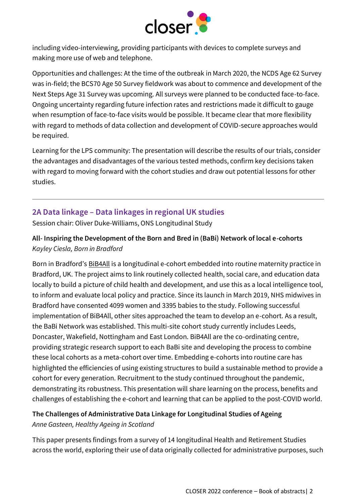

including video-interviewing, providing participants with devices to complete surveys and making more use of web and telephone.

Opportunities and challenges: At the time of the outbreak in March 2020, the NCDS Age 62 Survey was in-field; the BCS70 Age 50 Survey fieldwork was about to commence and development of the Next Steps Age 31 Survey was upcoming. All surveys were planned to be conducted face-to-face. Ongoing uncertainty regarding future infection rates and restrictions made it difficult to gauge when resumption of face-to-face visits would be possible. It became clear that more flexibility with regard to methods of data collection and development of COVID-secure approaches would be required.

Learning for the LPS community: The presentation will describe the results of our trials, consider the advantages and disadvantages of the various tested methods, confirm key decisions taken with regard to moving forward with the cohort studies and draw out potential lessons for other studies.

## **2A Data linkage – Data linkages in regional UK studies**

Session chair: Oliver Duke-Williams, ONS Longitudinal Study

### **All- Inspiring the Development of the Born and Bred in (BaBi) Network of local e-cohorts** *Kayley Ciesla, Born in Bradford*

Born in Bradford's **[BiB4All](https://borninbradford.nhs.uk/what-we-do/pregnancy-early-years/born-in-bradford/))** is a longitudinal e-cohort embedded into routine maternity practice in Bradford, UK. The project aims to link routinely collected health, social care, and education data locally to build a picture of child health and development, and use this as a local intelligence tool, to inform and evaluate local policy and practice. Since its launch in March 2019, NHS midwives in Bradford have consented 4099 women and 3395 babies to the study. Following successful implementation of BiB4All, other sites approached the team to develop an e-cohort. As a result, the BaBi Network was established. This multi-site cohort study currently includes Leeds, Doncaster, Wakefield, Nottingham and East London. BiB4All are the co-ordinating centre, providing strategic research support to each BaBi site and developing the process to combine these local cohorts as a meta-cohort over time. Embedding e-cohorts into routine care has highlighted the efficiencies of using existing structures to build a sustainable method to provide a cohort for every generation. Recruitment to the study continued throughout the pandemic, demonstrating its robustness. This presentation will share learning on the process, benefits and challenges of establishing the e-cohort and learning that can be applied to the post-COVID world.

### **The Challenges of Administrative Data Linkage for Longitudinal Studies of Ageing** *Anne Gasteen, Healthy Ageing in Scotland*

This paper presents findings from a survey of 14 longitudinal Health and Retirement Studies across the world, exploring their use of data originally collected for administrative purposes, such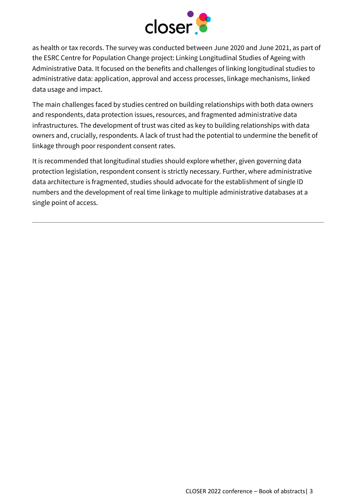

as health or tax records. The survey was conducted between June 2020 and June 2021, as part of the ESRC Centre for Population Change project: Linking Longitudinal Studies of Ageing with Administrative Data. It focused on the benefits and challenges of linking longitudinal studies to administrative data: application, approval and access processes, linkage mechanisms, linked data usage and impact.

The main challenges faced by studies centred on building relationships with both data owners and respondents, data protection issues, resources, and fragmented administrative data infrastructures. The development of trust was cited as key to building relationships with data owners and, crucially, respondents. A lack of trust had the potential to undermine the benefit of linkage through poor respondent consent rates.

It is recommended that longitudinal studies should explore whether, given governing data protection legislation, respondent consent is strictly necessary. Further, where administrative data architecture is fragmented, studies should advocate for the establishment of single ID numbers and the development of real time linkage to multiple administrative databases at a single point of access.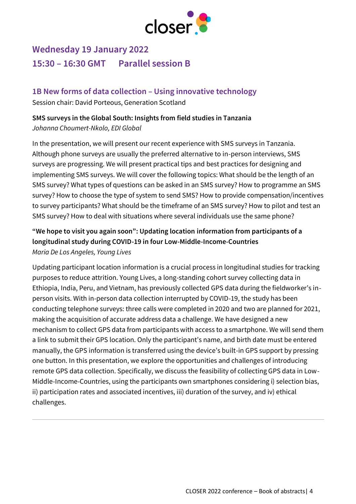

# **Wednesday 19 January 2022 15:30 – 16:30 GMT Parallel session B**

# **1B New forms of data collection – Using innovative technology**

Session chair: David Porteous, Generation Scotland

## **SMS surveys in the Global South: Insights from field studies in Tanzania**  *Johanna Choumert-Nkolo, EDI Global*

In the presentation, we will present our recent experience with SMS surveys in Tanzania. Although phone surveys are usually the preferred alternative to in-person interviews, SMS surveys are progressing. We will present practical tips and best practices for designing and implementing SMS surveys. We will cover the following topics: What should be the length of an SMS survey? What types of questions can be asked in an SMS survey? How to programme an SMS survey? How to choose the type of system to send SMS? How to provide compensation/incentives to survey participants? What should be the timeframe of an SMS survey? How to pilot and test an SMS survey? How to deal with situations where several individuals use the same phone?

## **"We hope to visit you again soon": Updating location information from participants of a longitudinal study during COVID-19 in four Low-Middle-Income-Countries** *Maria De Los Angeles, Young Lives*

Updating participant location information is a crucial process in longitudinal studies for tracking purposes to reduce attrition. Young Lives, a long-standing cohort survey collecting data in Ethiopia, India, Peru, and Vietnam, has previously collected GPS data during the fieldworker's inperson visits. With in-person data collection interrupted by COVID-19, the study has been conducting telephone surveys: three calls were completed in 2020 and two are planned for 2021, making the acquisition of accurate address data a challenge. We have designed a new mechanism to collect GPS data from participants with access to a smartphone. We will send them a link to submit their GPS location. Only the participant's name, and birth date must be entered manually, the GPS information is transferred using the device's built-in GPS support by pressing one button. In this presentation, we explore the opportunities and challenges of introducing remote GPS data collection. Specifically, we discuss the feasibility of collecting GPS data in Low-Middle-Income-Countries, using the participants own smartphones considering i) selection bias, ii) participation rates and associated incentives, iii) duration of the survey, and iv) ethical challenges.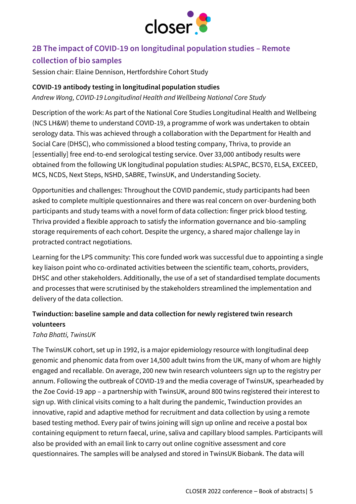

## **2B The impact of COVID-19 on longitudinal population studies – Remote collection of bio samples**

Session chair: Elaine Dennison, Hertfordshire Cohort Study

### **COVID-19 antibody testing in longitudinal population studies**

*Andrew Wong, COVID-19 Longitudinal Health and Wellbeing National Core Study*

Description of the work: As part of the National Core Studies Longitudinal Health and Wellbeing (NCS LH&W) theme to understand COVID-19, a programme of work was undertaken to obtain serology data. This was achieved through a collaboration with the Department for Health and Social Care (DHSC), who commissioned a blood testing company, Thriva, to provide an [essentially] free end-to-end serological testing service. Over 33,000 antibody results were obtained from the following UK longitudinal population studies: ALSPAC, BCS70, ELSA, EXCEED, MCS, NCDS, Next Steps, NSHD, SABRE, TwinsUK, and Understanding Society.

Opportunities and challenges: Throughout the COVID pandemic, study participants had been asked to complete multiple questionnaires and there was real concern on over-burdening both participants and study teams with a novel form of data collection: finger prick blood testing. Thriva provided a flexible approach to satisfy the information governance and bio-sampling storage requirements of each cohort. Despite the urgency, a shared major challenge lay in protracted contract negotiations.

Learning for the LPS community: This core funded work was successful due to appointing a single key liaison point who co-ordinated activities between the scientific team, cohorts, providers, DHSC and other stakeholders. Additionally, the use of a set of standardised template documents and processes that were scrutinised by the stakeholders streamlined the implementation and delivery of the data collection.

## **Twinduction: baseline sample and data collection for newly registered twin research volunteers**

### *Taha Bhatti, TwinsUK*

The TwinsUK cohort, set up in 1992, is a major epidemiology resource with longitudinal deep genomic and phenomic data from over 14,500 adult twins from the UK, many of whom are highly engaged and recallable. On average, 200 new twin research volunteers sign up to the registry per annum. Following the outbreak of COVID-19 and the media coverage of TwinsUK, spearheaded by the Zoe Covid-19 app – a partnership with TwinsUK, around 800 twins registered their interest to sign up. With clinical visits coming to a halt during the pandemic, Twinduction provides an innovative, rapid and adaptive method for recruitment and data collection by using a remote based testing method. Every pair of twins joining will sign up online and receive a postal box containing equipment to return faecal, urine, saliva and capillary blood samples. Participants will also be provided with an email link to carry out online cognitive assessment and core questionnaires. The samples will be analysed and stored in TwinsUK Biobank. The data will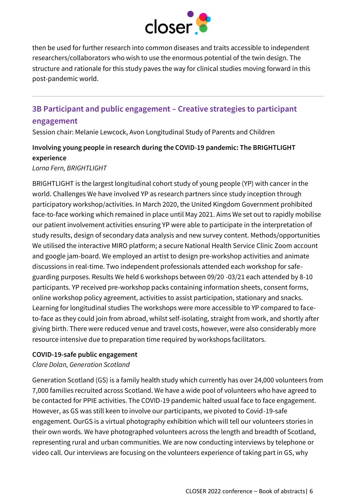

then be used for further research into common diseases and traits accessible to independent researchers/collaborators who wish to use the enormous potential of the twin design. The structure and rationale for this study paves the way for clinical studies moving forward in this post-pandemic world.

# **3B Participant and public engagement – Creative strategies to participant**

#### **engagement**

Session chair: Melanie Lewcock, Avon Longitudinal Study of Parents and Children

## **Involving young people in research during the COVID-19 pandemic: The BRIGHTLIGHT experience**

#### *Lorna Fern, BRIGHTLIGHT*

BRIGHTLIGHT is the largest longitudinal cohort study of young people (YP) with cancer in the world. Challenges We have involved YP as research partners since study inception through participatory workshop/activities. In March 2020, the United Kingdom Government prohibited face-to-face working which remained in place until May 2021. Aims We set out to rapidly mobilise our patient involvement activities ensuring YP were able to participate in the interpretation of study results, design of secondary data analysis and new survey content. Methods/opportunities We utilised the interactive MIRO platform; a secure National Health Service Clinic Zoom account and google jam-board. We employed an artist to design pre-workshop activities and animate discussions in real-time. Two independent professionals attended each workshop for safeguarding purposes. Results We held 6 workshops between 09/20 -03/21 each attended by 8-10 participants. YP received pre-workshop packs containing information sheets, consent forms, online workshop policy agreement, activities to assist participation, stationary and snacks. Learning for longitudinal studies The workshops were more accessible to YP compared to faceto-face as they could join from abroad, whilst self-isolating, straight from work, and shortly after giving birth. There were reduced venue and travel costs, however, were also considerably more resource intensive due to preparation time required by workshops facilitators.

#### **COVID-19-safe public engagement**

### *Clare Dolan, Generation Scotland*

Generation Scotland (GS) is a family health study which currently has over 24,000 volunteers from 7,000 families recruited across Scotland. We have a wide pool of volunteers who have agreed to be contacted for PPIE activities. The COVID-19 pandemic halted usual face to face engagement. However, as GS was still keen to involve our participants, we pivoted to Covid-19-safe engagement. OurGS is a virtual photography exhibition which will tell our volunteers stories in their own words. We have photographed volunteers across the length and breadth of Scotland, representing rural and urban communities. We are now conducting interviews by telephone or video call. Our interviews are focusing on the volunteers experience of taking part in GS, why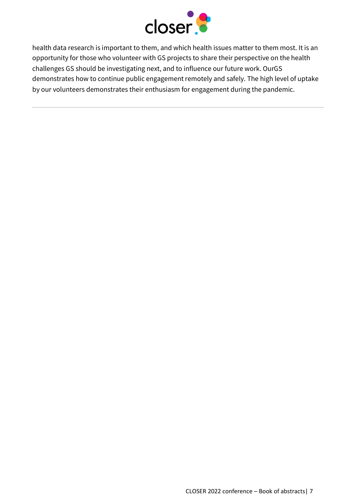

health data research is important to them, and which health issues matter to them most. It is an opportunity for those who volunteer with GS projects to share their perspective on the health challenges GS should be investigating next, and to influence our future work. OurGS demonstrates how to continue public engagement remotely and safely. The high level of uptake by our volunteers demonstrates their enthusiasm for engagement during the pandemic.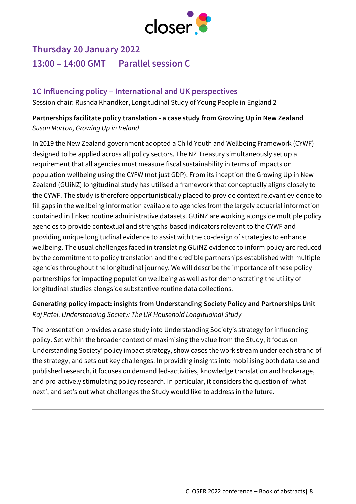

# **Thursday 20 January 2022 13:00 – 14:00 GMT Parallel session C**

## **1C Influencing policy – International and UK perspectives**

Session chair: Rushda Khandker, Longitudinal Study of Young People in England 2

### **Partnerships facilitate policy translation - a case study from Growing Up in New Zealand** *Susan Morton, Growing Up in Ireland*

In 2019 the New Zealand government adopted a Child Youth and Wellbeing Framework (CYWF) designed to be applied across all policy sectors. The NZ Treasury simultaneously set up a requirement that all agencies must measure fiscal sustainability in terms of impacts on population wellbeing using the CYFW (not just GDP). From its inception the Growing Up in New Zealand (GUiNZ) longitudinal study has utilised a framework that conceptually aligns closely to the CYWF. The study is therefore opportunistically placed to provide context relevant evidence to fill gaps in the wellbeing information available to agencies from the largely actuarial information contained in linked routine administrative datasets. GUiNZ are working alongside multiple policy agencies to provide contextual and strengths-based indicators relevant to the CYWF and providing unique longitudinal evidence to assist with the co-design of strategies to enhance wellbeing. The usual challenges faced in translating GUiNZ evidence to inform policy are reduced by the commitment to policy translation and the credible partnerships established with multiple agencies throughout the longitudinal journey. We will describe the importance of these policy partnerships for impacting population wellbeing as well as for demonstrating the utility of longitudinal studies alongside substantive routine data collections.

### **Generating policy impact: insights from Understanding Society Policy and Partnerships Unit** *Raj Patel, Understanding Society: The UK Household Longitudinal Study*

The presentation provides a case study into Understanding Society's strategy for influencing policy. Set within the broader context of maximising the value from the Study, it focus on Understanding Society' policy impact strategy, show cases the work stream under each strand of the strategy, and sets out key challenges. In providing insights into mobilising both data use and published research, it focuses on demand led-activities, knowledge translation and brokerage, and pro-actively stimulating policy research. In particular, it considers the question of 'what next', and set's out what challenges the Study would like to address in the future.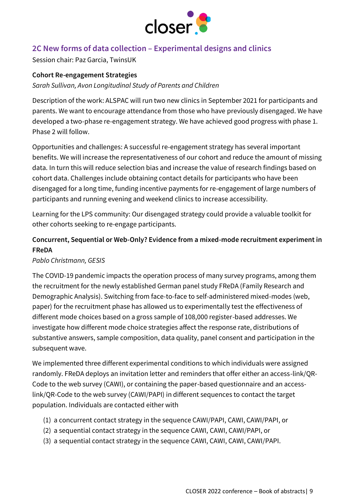

## **2C New forms of data collection – Experimental designs and clinics**

Session chair: Paz Garcia, TwinsUK

#### **Cohort Re-engagement Strategies**

*Sarah Sullivan, Avon Longitudinal Study of Parents and Children*

Description of the work: ALSPAC will run two new clinics in September 2021 for participants and parents. We want to encourage attendance from those who have previously disengaged. We have developed a two-phase re-engagement strategy. We have achieved good progress with phase 1. Phase 2 will follow.

Opportunities and challenges: A successful re-engagement strategy has several important benefits. We will increase the representativeness of our cohort and reduce the amount of missing data. In turn this will reduce selection bias and increase the value of research findings based on cohort data. Challenges include obtaining contact details for participants who have been disengaged for a long time, funding incentive payments for re-engagement of large numbers of participants and running evening and weekend clinics to increase accessibility.

Learning for the LPS community: Our disengaged strategy could provide a valuable toolkit for other cohorts seeking to re-engage participants.

### **Concurrent, Sequential or Web-Only? Evidence from a mixed-mode recruitment experiment in FReDA**

#### *Pablo Christmann, GESIS*

The COVID-19 pandemic impacts the operation process of many survey programs, among them the recruitment for the newly established German panel study FReDA (Family Research and Demographic Analysis). Switching from face-to-face to self-administered mixed-modes (web, paper) for the recruitment phase has allowed us to experimentally test the effectiveness of different mode choices based on a gross sample of 108,000 register-based addresses. We investigate how different mode choice strategies affect the response rate, distributions of substantive answers, sample composition, data quality, panel consent and participation in the subsequent wave.

We implemented three different experimental conditions to which individuals were assigned randomly. FReDA deploys an invitation letter and reminders that offer either an access-link/QR-Code to the web survey (CAWI), or containing the paper-based questionnaire and an accesslink/QR-Code to the web survey (CAWI/PAPI) in different sequences to contact the target population. Individuals are contacted either with

- (1) a concurrent contact strategy in the sequence CAWI/PAPI, CAWI, CAWI/PAPI, or
- (2) a sequential contact strategy in the sequence CAWI, CAWI, CAWI/PAPI, or
- (3) a sequential contact strategy in the sequence CAWI, CAWI, CAWI, CAWI/PAPI.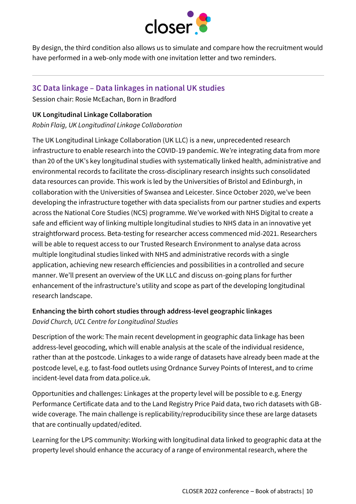

By design, the third condition also allows us to simulate and compare how the recruitment would have performed in a web-only mode with one invitation letter and two reminders.

### **3C Data linkage – Data linkages in national UK studies**

Session chair: Rosie McEachan, Born in Bradford

#### **UK Longitudinal Linkage Collaboration**

*Robin Flaig, UK Longitudinal Linkage Collaboration*

The UK Longitudinal Linkage Collaboration (UK LLC) is a new, unprecedented research infrastructure to enable research into the COVID-19 pandemic. We're integrating data from more than 20 of the UK's key longitudinal studies with systematically linked health, administrative and environmental records to facilitate the cross-disciplinary research insights such consolidated data resources can provide. This work is led by the Universities of Bristol and Edinburgh, in collaboration with the Universities of Swansea and Leicester. Since October 2020, we've been developing the infrastructure together with data specialists from our partner studies and experts across the National Core Studies (NCS) programme. We've worked with NHS Digital to create a safe and efficient way of linking multiple longitudinal studies to NHS data in an innovative yet straightforward process. Beta-testing for researcher access commenced mid-2021. Researchers will be able to request access to our Trusted Research Environment to analyse data across multiple longitudinal studies linked with NHS and administrative records with a single application, achieving new research efficiencies and possibilities in a controlled and secure manner. We'll present an overview of the UK LLC and discuss on-going plans for further enhancement of the infrastructure's utility and scope as part of the developing longitudinal research landscape.

### **Enhancing the birth cohort studies through address-level geographic linkages** *David Church, UCL Centre for Longitudinal Studies*

Description of the work: The main recent development in geographic data linkage has been address-level geocoding, which will enable analysis at the scale of the individual residence, rather than at the postcode. Linkages to a wide range of datasets have already been made at the postcode level, e.g. to fast-food outlets using Ordnance Survey Points of Interest, and to crime incident-level data from data.police.uk.

Opportunities and challenges: Linkages at the property level will be possible to e.g. Energy Performance Certificate data and to the Land Registry Price Paid data, two rich datasets with GBwide coverage. The main challenge is replicability/reproducibility since these are large datasets that are continually updated/edited.

Learning for the LPS community: Working with longitudinal data linked to geographic data at the property level should enhance the accuracy of a range of environmental research, where the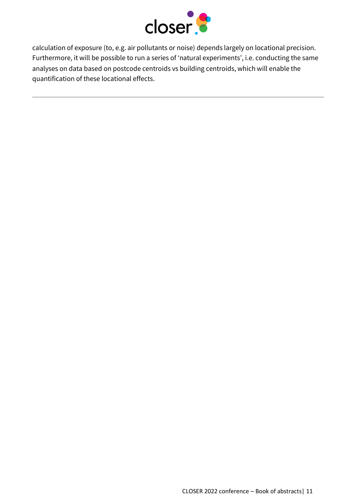

calculation of exposure (to, e.g. air pollutants or noise) depends largely on locational precision. Furthermore, it will be possible to run a series of 'natural experiments', i.e. conducting the same analyses on data based on postcode centroids vs building centroids, which will enable the quantification of these locational effects.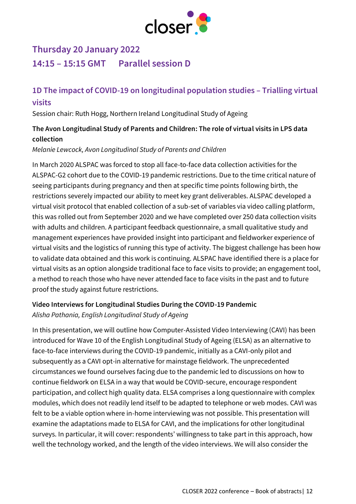

# **Thursday 20 January 2022 14:15 – 15:15 GMT Parallel session D**

## **1D The impact of COVID-19 on longitudinal population studies – Trialling virtual visits**

Session chair: Ruth Hogg, Northern Ireland Longitudinal Study of Ageing

### **The Avon Longitudinal Study of Parents and Children: The role of virtual visits in LPS data collection**

#### *Melanie Lewcock, Avon Longitudinal Study of Parents and Children*

In March 2020 ALSPAC was forced to stop all face-to-face data collection activities for the ALSPAC-G2 cohort due to the COVID-19 pandemic restrictions. Due to the time critical nature of seeing participants during pregnancy and then at specific time points following birth, the restrictions severely impacted our ability to meet key grant deliverables. ALSPAC developed a virtual visit protocol that enabled collection of a sub-set of variables via video calling platform, this was rolled out from September 2020 and we have completed over 250 data collection visits with adults and children. A participant feedback questionnaire, a small qualitative study and management experiences have provided insight into participant and fieldworker experience of virtual visits and the logistics of running this type of activity. The biggest challenge has been how to validate data obtained and this work is continuing. ALSPAC have identified there is a place for virtual visits as an option alongside traditional face to face visits to provide; an engagement tool, a method to reach those who have never attended face to face visits in the past and to future proof the study against future restrictions.

# **Video Interviews for Longitudinal Studies During the COVID-19 Pandemic**

#### *Alisha Pathania, English Longitudinal Study of Ageing*

In this presentation, we will outline how Computer-Assisted Video Interviewing (CAVI) has been introduced for Wave 10 of the English Longitudinal Study of Ageing (ELSA) as an alternative to face-to-face interviews during the COVID-19 pandemic, initially as a CAVI-only pilot and subsequently as a CAVI opt-in alternative for mainstage fieldwork. The unprecedented circumstances we found ourselves facing due to the pandemic led to discussions on how to continue fieldwork on ELSA in a way that would be COVID-secure, encourage respondent participation, and collect high quality data. ELSA comprises a long questionnaire with complex modules, which does not readily lend itself to be adapted to telephone or web modes. CAVI was felt to be a viable option where in-home interviewing was not possible. This presentation will examine the adaptations made to ELSA for CAVI, and the implications for other longitudinal surveys. In particular, it will cover: respondents' willingness to take part in this approach, how well the technology worked, and the length of the video interviews. We will also consider the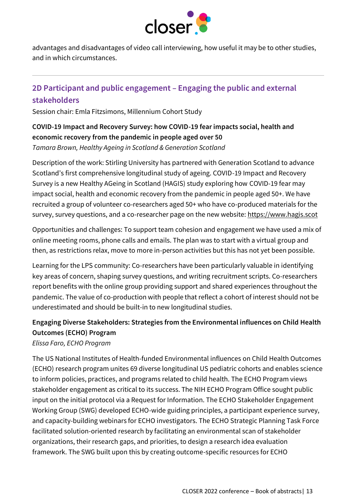

advantages and disadvantages of video call interviewing, how useful it may be to other studies, and in which circumstances.

## **2D Participant and public engagement – Engaging the public and external stakeholders**

Session chair: Emla Fitzsimons, Millennium Cohort Study

# **COVID-19 Impact and Recovery Survey: how COVID-19 fear impacts social, health and economic recovery from the pandemic in people aged over 50**

*Tamara Brown, Healthy Ageing in Scotland & Generation Scotland*

Description of the work: Stirling University has partnered with Generation Scotland to advance Scotland's first comprehensive longitudinal study of ageing. COVID-19 Impact and Recovery Survey is a new Healthy AGeing in Scotland (HAGIS) study exploring how COVID-19 fear may impact social, health and economic recovery from the pandemic in people aged 50+. We have recruited a group of volunteer co-researchers aged 50+ who have co-produced materials for the survey, survey questions, and a co-researcher page on the new website[: https://www.hagis.scot](https://www.hagis.scot/)

Opportunities and challenges: To support team cohesion and engagement we have used a mix of online meeting rooms, phone calls and emails. The plan was to start with a virtual group and then, as restrictions relax, move to more in-person activities but this has not yet been possible.

Learning for the LPS community: Co-researchers have been particularly valuable in identifying key areas of concern, shaping survey questions, and writing recruitment scripts. Co-researchers report benefits with the online group providing support and shared experiences throughout the pandemic. The value of co-production with people that reflect a cohort of interest should not be underestimated and should be built-in to new longitudinal studies.

## **Engaging Diverse Stakeholders: Strategies from the Environmental influences on Child Health Outcomes (ECHO) Program**

*Elissa Faro, ECHO Program*

The US National Institutes of Health-funded Environmental influences on Child Health Outcomes (ECHO) research program unites 69 diverse longitudinal US pediatric cohorts and enables science to inform policies, practices, and programs related to child health. The ECHO Program views stakeholder engagement as critical to its success. The NIH ECHO Program Office sought public input on the initial protocol via a Request for Information. The ECHO Stakeholder Engagement Working Group (SWG) developed ECHO-wide guiding principles, a participant experience survey, and capacity-building webinars for ECHO investigators. The ECHO Strategic Planning Task Force facilitated solution-oriented research by facilitating an environmental scan of stakeholder organizations, their research gaps, and priorities, to design a research idea evaluation framework. The SWG built upon this by creating outcome-specific resources for ECHO